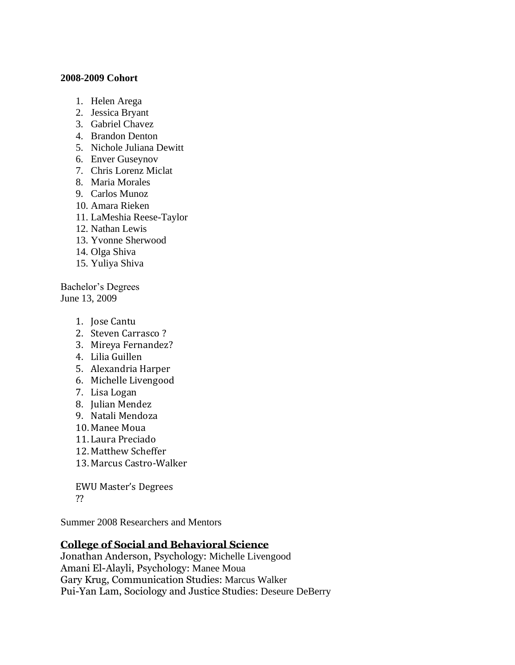## **2008-2009 Cohort**

- 1. Helen Arega
- 2. Jessica Bryant
- 3. Gabriel Chavez
- 4. Brandon Denton
- 5. Nichole Juliana Dewitt
- 6. Enver Guseynov
- 7. Chris Lorenz Miclat
- 8. Maria Morales
- 9. Carlos Munoz
- 10. Amara Rieken
- 11. LaMeshia Reese-Taylor
- 12. Nathan Lewis
- 13. Yvonne Sherwood
- 14. Olga Shiva
- 15. Yuliya Shiva

Bachelor's Degrees June 13, 2009

- 1. Jose Cantu
- 2. Steven Carrasco ?
- 3. Mireya Fernandez?
- 4. Lilia Guillen
- 5. Alexandria Harper
- 6. Michelle Livengood
- 7. Lisa Logan
- 8. Julian Mendez
- 9. Natali Mendoza
- 10. Manee Moua
- 11. Laura Preciado
- 12. Matthew Scheffer
- 13. Marcus Castro-Walker

EWU Master's Degrees ??

Summer 2008 Researchers and Mentors

## **College of Social and Behavioral Science**

Jonathan Anderson, Psychology: Michelle Livengood Amani El-Alayli, Psychology: Manee Moua Gary Krug, Communication Studies: Marcus Walker Pui-Yan Lam, Sociology and Justice Studies: Deseure DeBerry